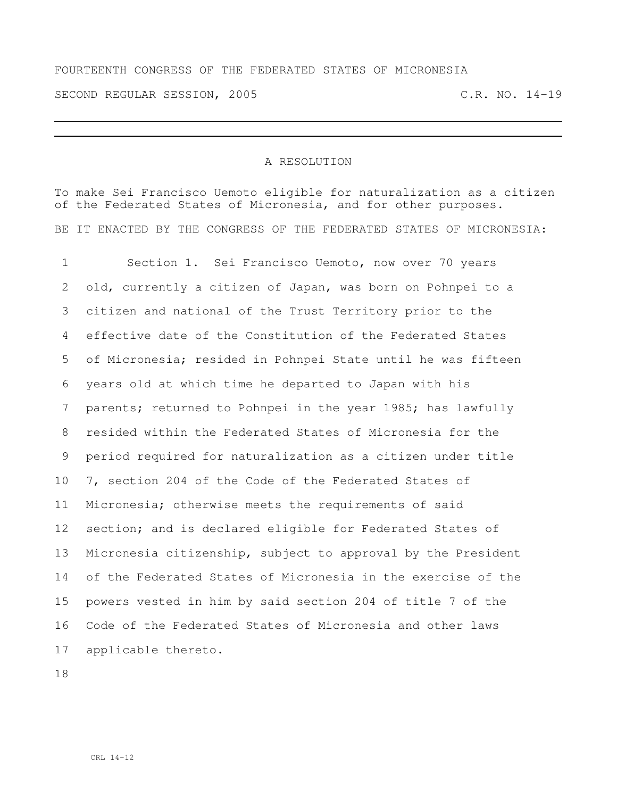FOURTEENTH CONGRESS OF THE FEDERATED STATES OF MICRONESIA SECOND REGULAR SESSION, 2005 C.R. NO. 14-19

## A RESOLUTION

To make Sei Francisco Uemoto eligible for naturalization as a citizen of the Federated States of Micronesia, and for other purposes. BE IT ENACTED BY THE CONGRESS OF THE FEDERATED STATES OF MICRONESIA:

 Section 1. Sei Francisco Uemoto, now over 70 years old, currently a citizen of Japan, was born on Pohnpei to a citizen and national of the Trust Territory prior to the effective date of the Constitution of the Federated States of Micronesia; resided in Pohnpei State until he was fifteen years old at which time he departed to Japan with his parents; returned to Pohnpei in the year 1985; has lawfully resided within the Federated States of Micronesia for the period required for naturalization as a citizen under title 7, section 204 of the Code of the Federated States of Micronesia; otherwise meets the requirements of said section; and is declared eligible for Federated States of Micronesia citizenship, subject to approval by the President of the Federated States of Micronesia in the exercise of the powers vested in him by said section 204 of title 7 of the Code of the Federated States of Micronesia and other laws applicable thereto.